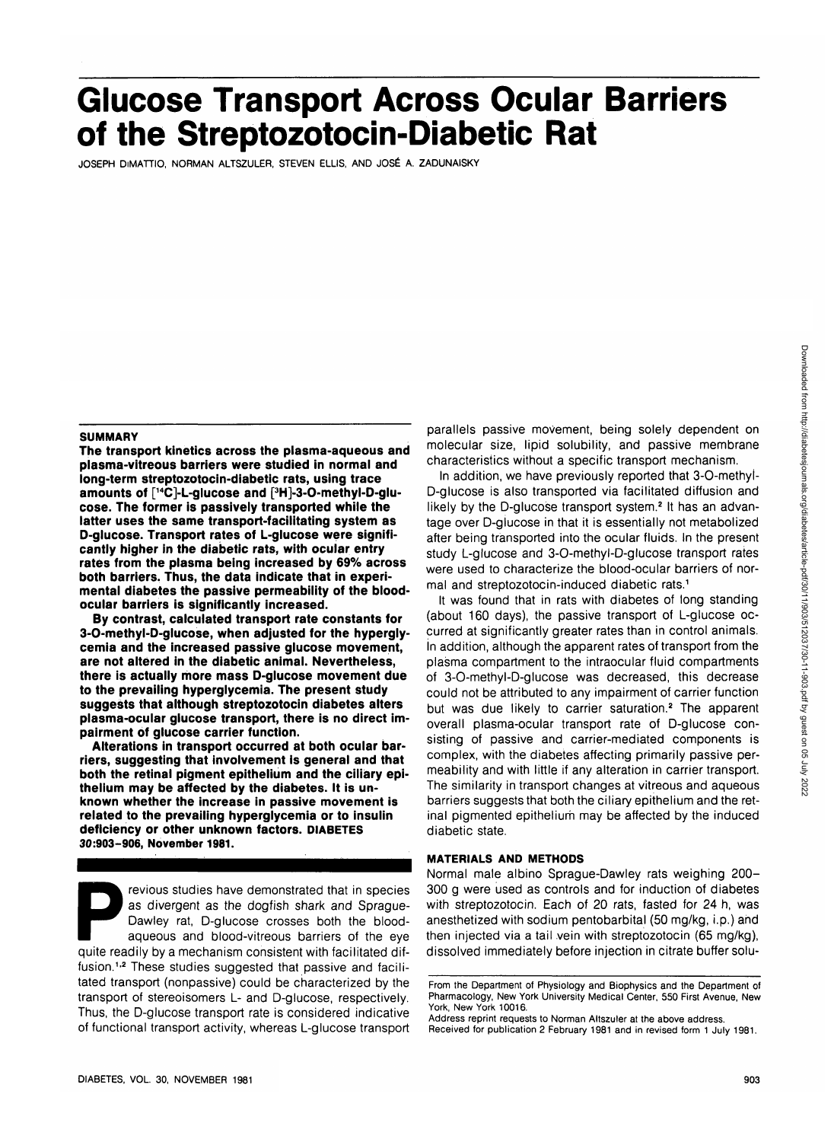# **Glucose Transport Across Ocular Barriers of the Streptozotocin-Diabetic Rat**

JOSEPH DiMATTIO, NORMAN ALTSZULER, STEVEN ELLIS, AND JOSE A. ZADUNAISKY

#### **SUMMARY**

**The transport kinetics across the plasma-aqueous and plasma-vitreous barriers were studied in normal and long-term streptozotocin-diabetic rats, using trace amounts of [14C]-L-glucose and [3 H]-3-O-methyl-D-glucose. The former is passively transported while the latter uses the same transport-facilitating system as D-glucose. Transport rates of L-glucose were significantly higher in the diabetic rats, with ocular entry rates from the plasma being increased by 69% across both barriers. Thus, the data indicate that in experimental diabetes the passive permeability of the bloodocular barriers is significantly increased.**

**By contrast, calculated transport rate constants for 3-O-methyl-O-glucose, when adjusted for the hyperglycemia and the increased passive glucose movement, are not altered in the diabetic animal. Nevertheless, there is actually more mass D-glucose movement due to the prevailing hyperglycemia. The present study suggests that although streptozotocin diabetes alters plasma-ocular glucose transport, there is no direct impairment of glucose carrier function.**

**Alterations in transport occurred at both ocular barriers, suggesting that involvement is general and that both the retinal pigment epithelium and the ciliary epithelium may be affected by the diabetes. It is unknown whether the increase in passive movement is related to the prevailing hyperglycemia or to insulin deficiency or other unknown factors. DIABETES 30:903-906, November 1981.**

revious studies have demonstrated that in species as divergent as the dogfish shark and Sprague-Dawley rat, D-glucose crosses both the bloodaqueous and blood-vitreous barriers of the eye quite readily by a mechanism consistent with facilitated diffusion.<sup>1,2</sup> These studies suggested that passive and facilitated transport (nonpassive) could be characterized by the transport of stereoisomers L- and D-glucose, respectively. Thus, the D-glucose transport rate is considered indicative of functional transport activity, whereas L-glucose transport

parallels passive movement, being solely dependent on molecular size, lipid solubility, and passive membrane characteristics without a specific transport mechanism.

In addition, we have previously reported that 3-O-methyi-D-glucose is also transported via facilitated diffusion and likely by the D-glucose transport system.<sup>2</sup> It has an advantage over D-glucose in that it is essentially not metabolized after being transported into the ocular fluids. In the present study L-glucose and 3-O-methyl-D-glucose transport rates were used to characterize the blood-ocular barriers of normal and streptozotocin-induced diabetic rats.1

It was found that in rats with diabetes of long standing (about 160 days), the passive transport of L-glucose occurred at significantly greater rates than in control animals, in addition, although the apparent rates of transport from the plasma compartment to the intraocular fluid compartments of 3-O-methyl-D-glucose was decreased, this decrease could not be attributed to any impairment of carrier function but was due likely to carrier saturation.<sup>2</sup> The apparent overall plasma-ocular transport rate of D-glucose consisting of passive and carrier-mediated components is complex, with the diabetes affecting primarily passive permeability and with little if any alteration in carrier transport. The similarity in transport changes at vitreous and aqueous barriers suggests that both the ciliary epithelium and the retinal pigmented epithelium may be affected by the induced diabetic state.

#### **MATERIALS AND METHODS**

Normal male albino Sprague-Dawley rats weighing 200- 300 g were used as controls and for induction of diabetes with streptozotocin. Each of 20 rats, fasted for 24 h, was anesthetized with sodium pentobarbital (50 mg/kg, i.p.) and then injected via a tail vein with streptozotocin (65 mg/kg), dissolved immediately before injection in citrate buffer solu-

From the Department of Physiology and Biophysics and the Department of Pharmacology, New York University Medical Center, 550 First Avenue, New York, New York 10016.

Address reprint requests to Norman Altszuler at the above address. Received for publication 2 February 1981 and in revised form 1 July 1981.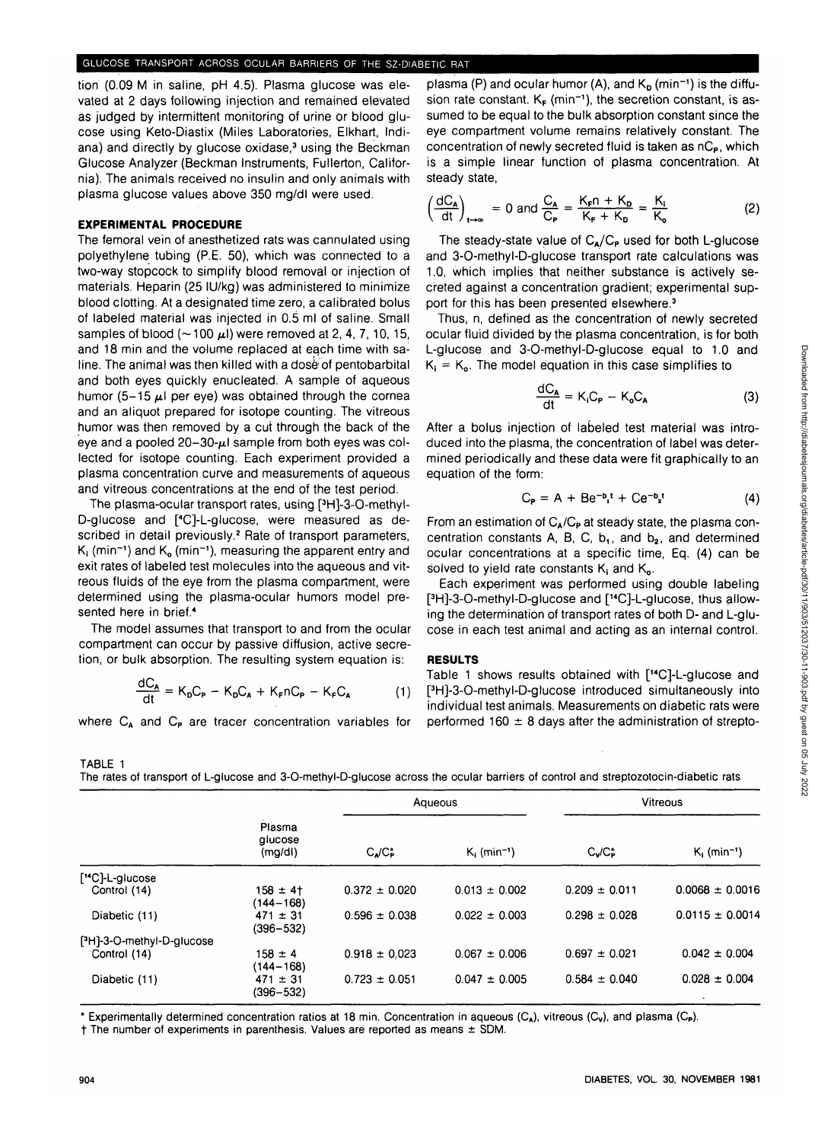tion (0.09 M in saline, pH 4.5). Plasma glucose was elevated at 2 days following injection and remained elevated as judged by intermittent monitoring of urine or blood glucose using Keto-Diastix (Miles Laboratories, Elkhart, Indiana) and directly by glucose oxidase,<sup>3</sup> using the Beckman Glucose Analyzer (Beckman Instruments, Fullerton, California). The animals received no insulin and only animals with plasma glucose values above 350 mg/dl were used.

#### **EXPERIMENTAL PROCEDURE**

The femoral vein of anesthetized rats was cannulated using polyethylene tubing (P.E. 50), which was connected to a two-way stopcock to simplify blood removal or injection of materials. Heparin (25 IU/kg) was administered to minimize blood clotting. At a designated time zero, a calibrated bolus of labeled material was injected in 0.5 ml of saline. Small samples of blood ( $\sim$  100  $\mu$ ) were removed at 2, 4, 7, 10, 15, and 18 min and the volume replaced at each time with saline. The animal was then killed with a dose of pentobarbital and both eyes quickly enucleated. A sample of aqueous humor (5-15  $\mu$ ) per eye) was obtained through the cornea and an aliquot prepared for isotope counting. The vitreous humor was then removed by a cut through the back of the eye and a pooled  $20-30-\mu$ I sample from both eyes was collected for isotope counting. Each experiment provided a plasma concentration curve and measurements of aqueous and vitreous concentrations at the end of the test period.

The plasma-ocular transport rates, using [<sup>3</sup> H]-3-O-methyl-D-glucose and [<sup>4</sup> C]-L-glucose, were measured as described in detail previously.<sup>2</sup> Rate of transport parameters,  $K_i$  (min<sup>-1</sup>) and  $K_o$  (min<sup>-1</sup>), measuring the apparent entry and exit rates of labeled test molecules into the aqueous and vitreous fluids of the eye from the plasma compartment, were determined using the plasma-ocular humors model presented here in brief.4

The model assumes that transport to and from the ocular compartment can occur by passive diffusion, active secretion, or bulk absorption. The resulting system equation is:

$$
\frac{dC_A}{dt} = K_D C_P - K_D C_A + K_F n C_P - K_F C_A \tag{1}
$$

where  $C_A$  and  $C_P$  are tracer concentration variables for

plasma (P) and ocular humor (A), and  $\mathsf{K}_\mathsf{D}$  (min<sup>-1</sup>) is the diffusion rate constant.  $K_F$  (min<sup>-1</sup>), the secretion constant, is assumed to be equal to the bulk absorption constant since the eye compartment volume remains relatively constant. The concentration of newly secreted fluid is taken as  $nC_P$ , which is a simple linear function of plasma concentration. At steady state,

$$
\left(\frac{dC_A}{dt}\right)_{t\to\infty} = 0 \text{ and } \frac{C_A}{C_P} = \frac{K_F n + K_D}{K_F + K_D} = \frac{K_i}{K_o} \tag{2}
$$

The steady-state value of  $C_A/C_P$  used for both L-glucose and 3-O-methyl-D-glucose transport rate calculations was 1.0, which implies that neither substance is actively secreted against a concentration gradient; experimental support for this has been presented elsewhere.<sup>3</sup>

Thus, n, defined as the concentration of newly secreted ocular fluid divided by the plasma concentration, is for both L-glucose and 3-O-methyl-D-glucose equal to 1.0 and  $K_i = K_o$ . The model equation in this case simplifies to

$$
\frac{dC_A}{dt} = K_i C_P - K_o C_A \tag{3}
$$

After a bolus injection of labeled test material was introduced into the plasma, the concentration of label was determined periodically and these data were fit graphically to an equation of the form:

$$
C_{\mathsf{P}} = A + Be^{-\mathsf{b}_1 \mathsf{t}} + Ce^{-\mathsf{b}_2 \mathsf{t}} \tag{4}
$$

From an estimation of  $C_A/C_P$  at steady state, the plasma concentration constants A, B, C,  $b_1$ , and  $b_2$ , and determined ocular concentrations at a specific time, Eq. (4) can be solved to yield rate constants  $K_i$  and  $K_o$ .

Each experiment was performed using double labeling [ 3 H]-3-O-methyl-D-glucose and [14C]-L-glucose, thus allowing the determination of transport rates of both D- and L-glucose in each test animal and acting as an internal control.

#### **RESULTS**

Table 1 shows results obtained with [14C]-L-glucose and [ 3 H]-3-O-methyl-D-glucose introduced simultaneously into individual test animals. Measurements on diabetic rats were performed  $160 \pm 8$  days after the administration of strepto-

The rates of transport of L-glucose and 3-O-methyl-D-glucose across the ocular barriers of control and streptozotocin-diabetic rats

|                                        | Plasma<br>glucose<br>(mg/d)   | Aqueous                   |                            | Vitreous          |                            |
|----------------------------------------|-------------------------------|---------------------------|----------------------------|-------------------|----------------------------|
|                                        |                               | $C_{\lambda}/C_{\rm P}^*$ | $K_i$ (min <sup>-1</sup> ) | $C_v/C_P^*$       | $K_i$ (min <sup>-1</sup> ) |
| [ <sup>14</sup> C]-L-glucose           |                               |                           |                            |                   |                            |
| Control (14)                           | $158 \pm 41$<br>$(144 - 168)$ | $0.372 \pm 0.020$         | $0.013 \pm 0.002$          | $0.209 \pm 0.011$ | $0.0068 \pm 0.0016$        |
| Diabetic (11)                          | $471 \pm 31$<br>$(396 - 532)$ | $0.596 \pm 0.038$         | $0.022 \pm 0.003$          | $0.298 \pm 0.028$ | $0.0115 \pm 0.0014$        |
| [ <sup>3</sup> H]-3-O-methyl-D-glucose |                               |                           |                            |                   |                            |
| Control (14)                           | $158 \pm 4$<br>$(144 - 168)$  | $0.918 \pm 0.023$         | $0.067 \pm 0.006$          | $0.697 \pm 0.021$ | $0.042 \pm 0.004$          |
| Diabetic (11)                          | $471 \pm 31$<br>$(396 - 532)$ | $0.723 \pm 0.051$         | $0.047 \pm 0.005$          | $0.584 \pm 0.040$ | $0.028 \pm 0.004$          |

\* Experimentally determined concentration ratios at 18 min. Concentration in aqueous (C<sub>A</sub>), vitreous (C<sub>v</sub>), and plasma (C<sub>P</sub>).

f The number of experiments in parenthesis. Values are reported as means ± SDM.

TABLE 1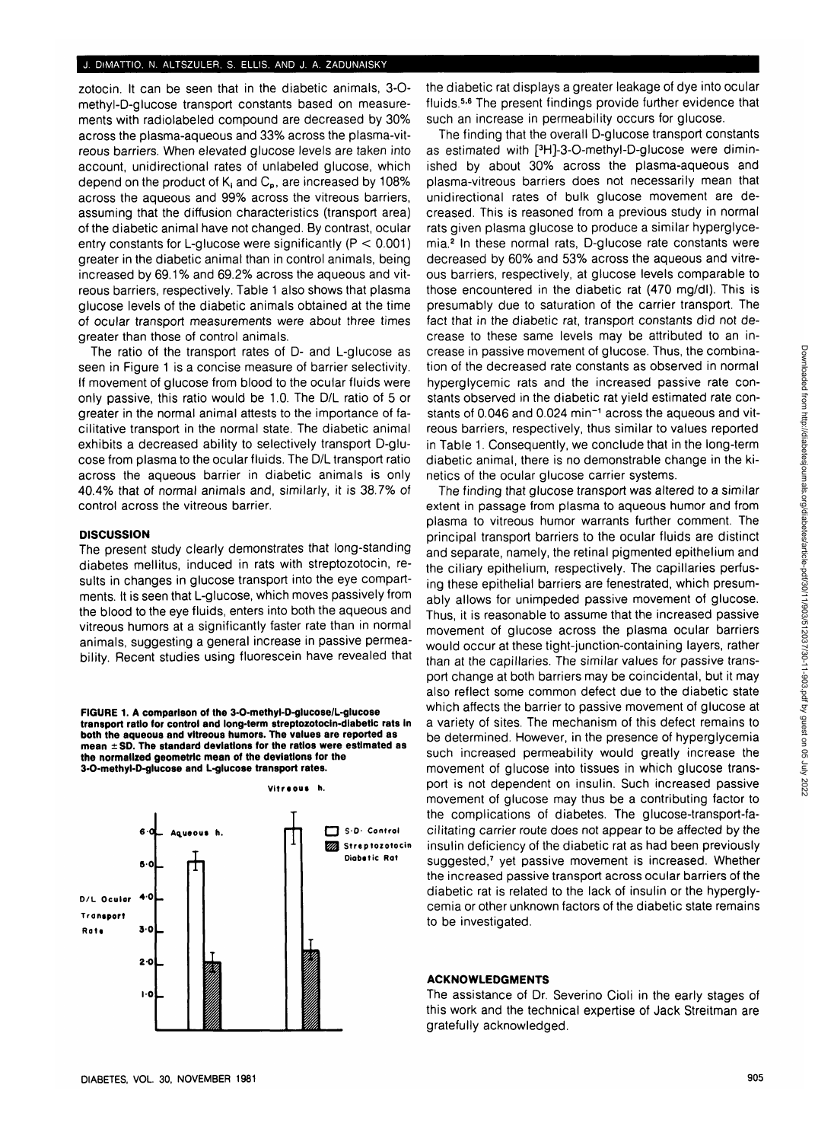## **J. DiMATTIO, N. ALTSZULER, S. ELLIS, AND J. A. ZADUNAISKY**

zotocin. It can be seen that in the diabetic animals, 3-0 methyl-D-glucose transport constants based on measurements with radiolabeled compound are decreased by 30% across the plasma-aqueous and 33% across the plasma-vitreous barriers. When elevated glucose levels are taken into account, unidirectional rates of unlabeled glucose, which depend on the product of  $K_i$  and  $C_p$ , are increased by 108% across the aqueous and 99% across the vitreous barriers, assuming that the diffusion characteristics (transport area) of the diabetic animal have not changed. By contrast, ocular entry constants for L-glucose were significantly  $(P < 0.001)$ greater in the diabetic animal than in control animals, being increased by 69.1% and 69.2% across the aqueous and vitreous barriers, respectively. Table 1 also shows that plasma glucose levels of the diabetic animals obtained at the time of ocular transport measurements were about three times greater than those of control animals.

The ratio of the transport rates of D- and L-glucose as seen in Figure 1 is a concise measure of barrier selectivity. If movement of glucose from blood to the ocular fluids were only passive, this ratio would be 1.0. The D/L ratio of 5 or greater in the normal animal attests to the importance of facilitative transport in the normal state. The diabetic animal exhibits a decreased ability to selectively transport D-glucose from plasma to the ocular fluids. The D/L transport ratio across the aqueous barrier in diabetic animals is only 40.4% that of normal animals and, similarly, it is 38.7% of control across the vitreous barrier.

### **DISCUSSION**

The present study clearly demonstrates that long-standing diabetes mellitus, induced in rats with streptozotocin, results in changes in glucose transport into the eye compartments. It is seen that L-glucose, which moves passively from the blood to the eye fluids, enters into both the aqueous and vitreous humors at a significantly faster rate than in normal animals, suggesting a general increase in passive permeability. Recent studies using fluorescein have revealed that

**FIGURE 1. A comparison of the 3-O-methyl-D-glucose/L-glucose transport ratio for control and long-term streptozotocin-dlabetic rats In both the aqueous and vitreous humors. The values are reported as mean ± SD. The standard deviations for the ratios were estimated as the normalized geometric mean of the deviations for the 3-O-methyl-D-glucose and L-glucose transport rates.**



the diabetic rat displays a greater leakage of dye into ocular fluids.<sup>5,6</sup> The present findings provide further evidence that such an increase in permeability occurs for glucose.

The finding that the overall D-glucose transport constants as estimated with [<sup>3</sup> H]-3-O-methyl-D-glucose were diminished by about 30% across the plasma-aqueous and plasma-vitreous barriers does not necessarily mean that unidirectional rates of bulk glucose movement are decreased. This is reasoned from a previous study in normal rats given plasma glucose to produce a similar hyperglycemia.<sup>2</sup> In these normal rats, D-glucose rate constants were decreased by 60% and 53% across the aqueous and vitreous barriers, respectively, at glucose levels comparable to those encountered in the diabetic rat (470 mg/dl). This is presumably due to saturation of the carrier transport. The fact that in the diabetic rat, transport constants did not decrease to these same levels may be attributed to an increase in passive movement of glucose. Thus, the combination of the decreased rate constants as observed in normal hyperglycemic rats and the increased passive rate constants observed in the diabetic rat yield estimated rate constants of 0.046 and 0.024 min~1 across the aqueous and vitreous barriers, respectively, thus similar to values reported in Table 1. Consequently, we conclude that in the long-term diabetic animal, there is no demonstrable change in the kinetics of the ocular glucose carrier systems.

The finding that glucose transport was altered to a similar extent in passage from plasma to aqueous humor and from plasma to vitreous humor warrants further comment. The principal transport barriers to the ocular fluids are distinct and separate, namely, the retinal pigmented epithelium and the ciliary epithelium, respectively. The capillaries perfusing these epithelial barriers are fenestrated, which presumably allows for unimpeded passive movement of glucose. Thus, it is reasonable to assume that the increased passive movement of glucose across the plasma ocular barriers would occur at these tight-junction-containing layers, rather than at the capillaries. The similar values for passive transport change at both barriers may be coincidental, but it may also reflect some common defect due to the diabetic state which affects the barrier to passive movement of glucose at a variety of sites. The mechanism of this defect remains to be determined. However, in the presence of hyperglycemia such increased permeability would greatly increase the movement of glucose into tissues in which glucose transport is not dependent on insulin. Such increased passive movement of glucose may thus be a contributing factor to the complications of diabetes. The glucose-transport-facilitating carrier route does not appear to be affected by the insulin deficiency of the diabetic rat as had been previously suggested,<sup>7</sup> yet passive movement is increased. Whether the increased passive transport across ocular barriers of the diabetic rat is related to the lack of insulin or the hyperglycemia or other unknown factors of the diabetic state remains to be investigated.

### **ACKNOWLEDGMENTS**

The assistance of Dr. Severino Cioli in the early stages of this work and the technical expertise of Jack Streitman are gratefully acknowledged.